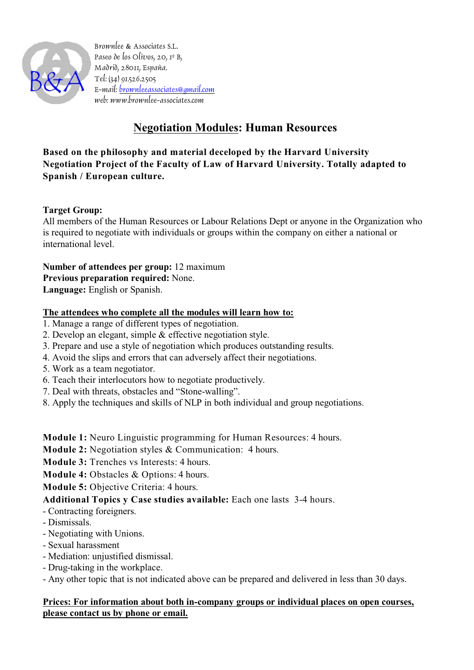

Brownlee & Associates S.L. Paseo de los Olivos, 20, 1º B, Madrid, 28011, España. Tel: (34) 91.526.2505 E-mail: [brownleeassociates@gmail.com](mailto:brownleeassociates@gmail.com) web: www.brownlee-associates.com

# **Negotiation Modules: Human Resources**

**Based on the philosophy and material deceloped by the Harvard University Negotiation Project of the Faculty of Law of Harvard University. Totally adapted to Spanish / European culture.**

# **Target Group:**

All members of the Human Resources or Labour Relations Dept or anyone in the Organization who is required to negotiate with individuals or groups within the company on either a national or international level.

**Number of attendees per group:** 12 maximum **Previous preparation required:** None. **Language:** English or Spanish.

### **The attendees who complete all the modules will learn how to:**

- 1. Manage a range of different types of negotiation.
- 2. Develop an elegant, simple & effective negotiation style.
- 3. Prepare and use a style of negotiation which produces outstanding results.
- 4. Avoid the slips and errors that can adversely affect their negotiations.
- 5. Work as a team negotiator.
- 6. Teach their interlocutors how to negotiate productively.
- 7. Deal with threats, obstacles and "Stone-walling".
- 8. Apply the techniques and skills of NLP in both individual and group negotiations.

**Module 1:** Neuro Linguistic programming for Human Resources: 4 hours.

**Module 2:** Negotiation styles & Communication: 4 hours.

- **Module 3:** Trenches vs Interests: 4 hours.
- **Module 4:** Obstacles & Options: 4 hours.

**Module 5:** Objective Criteria: 4 hours.

# **Additional Topics y Case studies available:** Each one lasts 3-4 hours.

- Contracting foreigners.
- Dismissals.
- Negotiating with Unions.
- Sexual harassment
- Mediation: unjustified dismissal.
- Drug-taking in the workplace.
- Any other topic that is not indicated above can be prepared and delivered in less than 30 days.

# **Prices: For information about both in-company groups or individual places on open courses, please contact us by phone or email.**